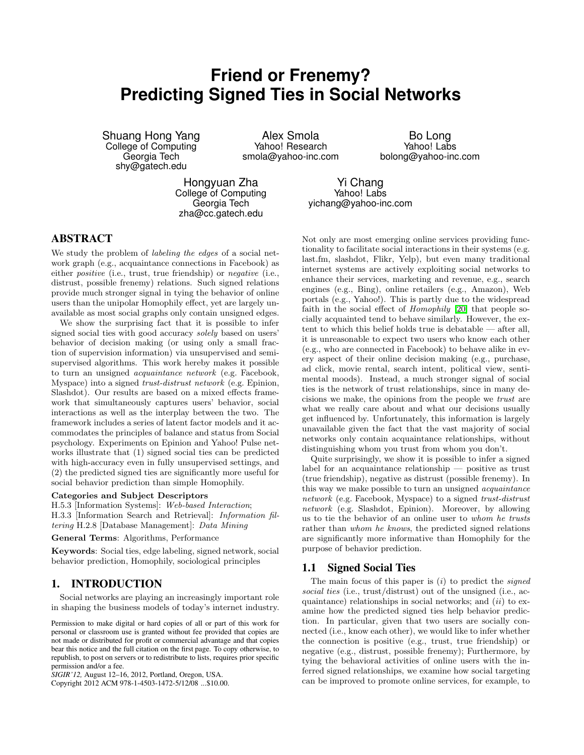# **Friend or Frenemy? Predicting Signed Ties in Social Networks**

Shuang Hong Yang College of Computing Georgia Tech shy@gatech.edu

Alex Smola Yahoo! Research smola@yahoo-inc.com

Bo Long Yahoo! Labs bolong@yahoo-inc.com

Hongyuan Zha College of Computing Georgia Tech zha@cc.gatech.edu

Yi Chang Yahoo! Labs yichang@yahoo-inc.com

## **ABSTRACT**

We study the problem of *labeling the edges* of a social network graph (e.g., acquaintance connections in Facebook) as either positive (i.e., trust, true friendship) or negative (i.e., distrust, possible frenemy) relations. Such signed relations provide much stronger signal in tying the behavior of online users than the unipolar Homophily effect, yet are largely unavailable as most social graphs only contain unsigned edges.

We show the surprising fact that it is possible to infer signed social ties with good accuracy solely based on users' behavior of decision making (or using only a small fraction of supervision information) via unsupervised and semisupervised algorithms. This work hereby makes it possible to turn an unsigned acquaintance network (e.g. Facebook, Myspace) into a signed trust-distrust network (e.g. Epinion, Slashdot). Our results are based on a mixed effects framework that simultaneously captures users' behavior, social interactions as well as the interplay between the two. The framework includes a series of latent factor models and it accommodates the principles of balance and status from Social psychology. Experiments on Epinion and Yahoo! Pulse networks illustrate that (1) signed social ties can be predicted with high-accuracy even in fully unsupervised settings, and (2) the predicted signed ties are significantly more useful for social behavior prediction than simple Homophily.

#### Categories and Subject Descriptors

H.5.3 [Information Systems]: Web-based Interaction; H.3.3 [Information Search and Retrieval]: Information filtering H.2.8 [Database Management]: Data Mining

General Terms: Algorithms, Performance

Keywords: Social ties, edge labeling, signed network, social behavior prediction, Homophily, sociological principles

## **1. INTRODUCTION**

Social networks are playing an increasingly important role in shaping the business models of today's internet industry.

Permission to make digital or hard copies of all or part of this work for personal or classroom use is granted without fee provided that copies are not made or distributed for profit or commercial advantage and that copies bear this notice and the full citation on the first page. To copy otherwise, to republish, to post on servers or to redistribute to lists, requires prior specific permission and/or a fee.

*SIGIR'12,* August 12–16, 2012, Portland, Oregon, USA.

Copyright 2012 ACM 978-1-4503-1472-5/12/08 ...\$10.00.

Not only are most emerging online services providing functionality to facilitate social interactions in their systems (e.g. last.fm, slashdot, Flikr, Yelp), but even many traditional internet systems are actively exploiting social networks to enhance their services, marketing and revenue, e.g., search engines (e.g., Bing), online retailers (e.g., Amazon), Web portals (e.g., Yahoo!). This is partly due to the widespread faith in the social effect of Homophily [\[20\]](#page-9-0) that people socially acquainted tend to behave similarly. However, the extent to which this belief holds true is debatable — after all, it is unreasonable to expect two users who know each other (e.g., who are connected in Facebook) to behave alike in every aspect of their online decision making (e.g., purchase, ad click, movie rental, search intent, political view, sentimental moods). Instead, a much stronger signal of social ties is the network of trust relationships, since in many decisions we make, the opinions from the people we trust are what we really care about and what our decisions usually get influenced by. Unfortunately, this information is largely unavailable given the fact that the vast majority of social networks only contain acquaintance relationships, without distinguishing whom you trust from whom you don't.

Quite surprisingly, we show it is possible to infer a signed label for an acquaintance relationship — positive as trust (true friendship), negative as distrust (possible frenemy). In this way we make possible to turn an unsigned acquaintance network (e.g. Facebook, Myspace) to a signed trust-distrust network (e.g. Slashdot, Epinion). Moreover, by allowing us to tie the behavior of an online user to whom he trusts rather than whom he knows, the predicted signed relations are significantly more informative than Homophily for the purpose of behavior prediction.

#### **1.1 Signed Social Ties**

The main focus of this paper is  $(i)$  to predict the *signed* social ties (i.e., trust/distrust) out of the unsigned (i.e., acquaintance) relationships in social networks; and  $(ii)$  to examine how the predicted signed ties help behavior prediction. In particular, given that two users are socially connected (i.e., know each other), we would like to infer whether the connection is positive (e.g., trust, true friendship) or negative (e.g., distrust, possible frenemy); Furthermore, by tying the behavioral activities of online users with the inferred signed relationships, we examine how social targeting can be improved to promote online services, for example, to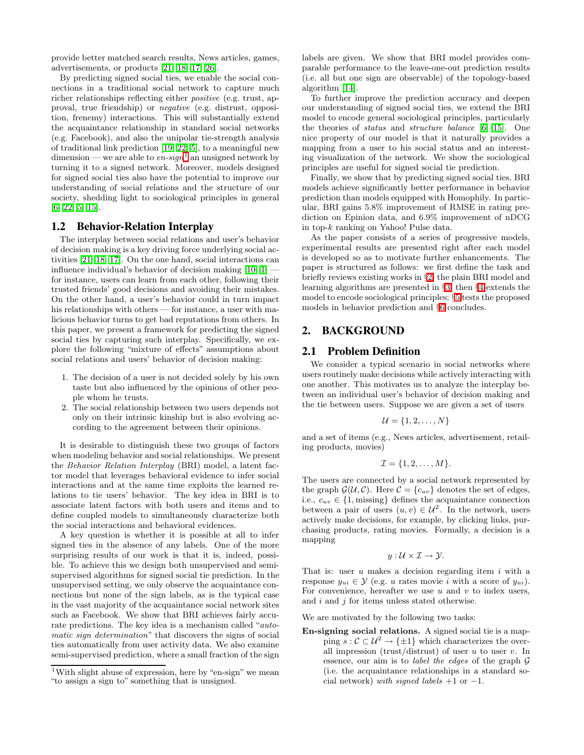provide better matched search results, News articles, games, advertisements, or products [\[21,](#page-9-1) [18,](#page-9-2) [17,](#page-9-3) [26\]](#page-9-4).

By predicting signed social ties, we enable the social connections in a traditional social network to capture much richer relationships reflecting either positive (e.g. trust, approval, true friendship) or negative (e.g. distrust, opposition, frenemy) interactions. This will substantially extend the acquaintance relationship in standard social networks (e.g. Facebook), and also the unipolar tie-strength analysis of traditional link prediction [\[19,](#page-9-5) [22,](#page-9-6) [5\]](#page-9-7), to a meaningful new dimension — we are able to  $en\text{-}sign<sup>1</sup>$  $en\text{-}sign<sup>1</sup>$  $en\text{-}sign<sup>1</sup>$  an unsigned network by turning it to a signed network. Moreover, models designed for signed social ties also have the potential to improve our understanding of social relations and the structure of our society, shedding light to sociological principles in general [\[6,](#page-9-8) [22,](#page-9-6) [5,](#page-9-7) [15\]](#page-9-9).

#### **1.2 Behavior-Relation Interplay**

The interplay between social relations and user's behavior of decision making is a key driving force underlying social activities [\[21,](#page-9-1) [18,](#page-9-2) [17\]](#page-9-3). On the one hand, social interactions can influence individual's behavior of decision making  $[10, 1]$  $[10, 1]$  for instance, users can learn from each other, following their trusted friends' good decisions and avoiding their mistakes. On the other hand, a user's behavior could in turn impact his relationships with others — for instance, a user with malicious behavior turns to get bad reputations from others. In this paper, we present a framework for predicting the signed social ties by capturing such interplay. Specifically, we explore the following "mixture of effects" assumptions about social relations and users' behavior of decision making:

- 1. The decision of a user is not decided solely by his own taste but also influenced by the opinions of other people whom he trusts.
- 2. The social relationship between two users depends not only on their intrinsic kinship but is also evolving according to the agreement between their opinions.

It is desirable to distinguish these two groups of factors when modeling behavior and social relationships. We present the Behavior Relation Interplay (BRI) model, a latent factor model that leverages behavioral evidence to infer social interactions and at the same time exploits the learned relations to tie users' behavior. The key idea in BRI is to associate latent factors with both users and items and to define coupled models to simultaneously characterize both the social interactions and behavioral evidences.

A key question is whether it is possible at all to infer signed ties in the absence of any labels. One of the more surprising results of our work is that it is, indeed, possible. To achieve this we design both unsupervised and semisupervised algorithms for signed social tie prediction. In the unsupervised setting, we only observe the acquaintance connections but none of the sign labels, as is the typical case in the vast majority of the acquaintance social network sites such as Facebook. We show that BRI achieves fairly accurate predictions. The key idea is a mechanism called "automatic sign determination" that discovers the signs of social ties automatically from user activity data. We also examine semi-supervised prediction, where a small fraction of the sign

labels are given. We show that BRI model provides comparable performance to the leave-one-out prediction results (i.e. all but one sign are observable) of the topology-based algorithm [\[14\]](#page-9-12).

To further improve the prediction accuracy and deepen our understanding of signed social ties, we extend the BRI model to encode general sociological principles, particularly the theories of status and structure balance [\[6,](#page-9-8) [15\]](#page-9-9). One nice property of our model is that it naturally provides a mapping from a user to his social status and an interesting visualization of the network. We show the sociological principles are useful for signed social tie prediction.

Finally, we show that by predicting signed social ties, BRI models achieve significantly better performance in behavior prediction than models equipped with Homophily. In particular, BRI gains 5.8% improvement of RMSE in rating prediction on Epinion data, and 6.9% improvement of nDCG in top-k ranking on Yahoo! Pulse data.

As the paper consists of a series of progressive models, experimental results are presented right after each model is developed so as to motivate further enhancements. The paper is structured as follows: we first define the task and briefly reviews existing works in §[2;](#page-1-1) the plain BRI model and learning algorithms are presented in §[3;](#page-3-0) then §[4](#page-6-0) extends the model to encode sociological principles; §[5](#page-7-0) tests the proposed models in behavior prediction and §[6](#page-8-0) concludes.

# <span id="page-1-1"></span>**2. BACKGROUND**

## **2.1 Problem Definition**

We consider a typical scenario in social networks where users routinely make decisions while actively interacting with one another. This motivates us to analyze the interplay between an individual user's behavior of decision making and the tie between users. Suppose we are given a set of users

$$
\mathcal{U} = \{1, 2, \dots, N\}
$$

and a set of items (e.g., News articles, advertisement, retailing products, movies)

$$
\mathcal{I} = \{1, 2, \ldots, M\}.
$$

The users are connected by a social network represented by the graph  $\mathcal{G}(\mathcal{U}, \mathcal{C})$ . Here  $\mathcal{C} = \{c_{uv}\}\$  denotes the set of edges, i.e.,  $c_{uv} \in \{1, \text{missing}\}\$  defines the acquaintance connection between a pair of users  $(u, v) \in \mathcal{U}^2$ . In the network, users actively make decisions, for example, by clicking links, purchasing products, rating movies. Formally, a decision is a mapping

$$
y: \mathcal{U} \times \mathcal{I} \to \mathcal{Y}.
$$

That is: user  $u$  makes a decision regarding item  $i$  with a response  $y_{ui} \in \mathcal{Y}$  (e.g. u rates movie i with a score of  $y_{ui}$ ). For convenience, hereafter we use  $u$  and  $v$  to index users, and  $i$  and  $j$  for items unless stated otherwise.

We are motivated by the following two tasks:

En-signing social relations. A signed social tie is a mapping  $s: \mathcal{C} \subset \mathcal{U}^2 \to \{\pm 1\}$  which characterizes the overall impression (trust/distrust) of user u to user v. In essence, our aim is to *label the edges* of the graph  $G$ (i.e. the acquaintance relationships in a standard social network) with signed labels  $+1$  or  $-1$ .

<span id="page-1-0"></span><sup>&</sup>lt;sup>1</sup>With slight abuse of expression, here by "en-sign" we mean "to assign a sign to" something that is unsigned.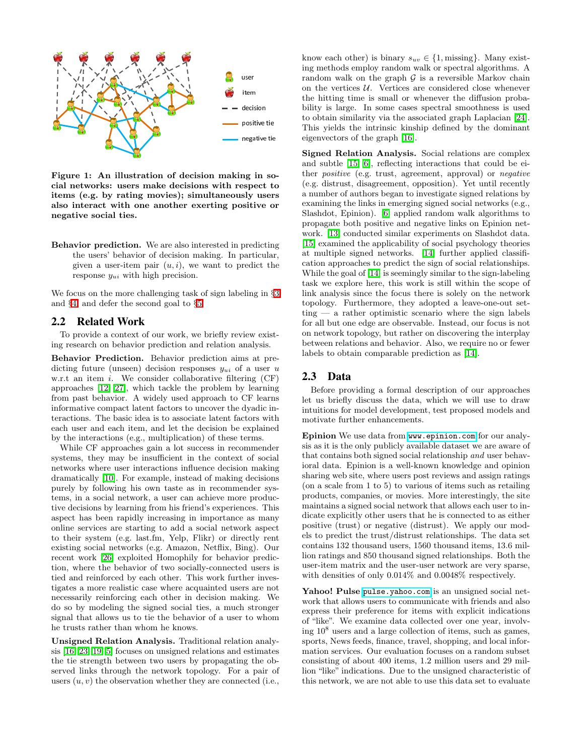

Figure 1: An illustration of decision making in social networks: users make decisions with respect to items (e.g. by rating movies); simultaneously users also interact with one another exerting positive or negative social ties.

Behavior prediction. We are also interested in predicting the users' behavior of decision making. In particular, given a user-item pair  $(u, i)$ , we want to predict the response  $y_{ui}$  with high precision.

We focus on the more challenging task of sign labeling in §[3](#page-3-0) and §[4,](#page-6-0) and defer the second goal to §[5.](#page-7-0)

#### **2.2 Related Work**

To provide a context of our work, we briefly review existing research on behavior prediction and relation analysis.

Behavior Prediction. Behavior prediction aims at predicting future (unseen) decision responses  $y_{ui}$  of a user u w.r.t an item  $i$ . We consider collaborative filtering  $(CF)$ approaches [\[12,](#page-9-13) [27\]](#page-9-14), which tackle the problem by learning from past behavior. A widely used approach to CF learns informative compact latent factors to uncover the dyadic interactions. The basic idea is to associate latent factors with each user and each item, and let the decision be explained by the interactions (e.g., multiplication) of these terms.

While CF approaches gain a lot success in recommender systems, they may be insufficient in the context of social networks where user interactions influence decision making dramatically [\[10\]](#page-9-10). For example, instead of making decisions purely by following his own taste as in recommender systems, in a social network, a user can achieve more productive decisions by learning from his friend's experiences. This aspect has been rapidly increasing in importance as many online services are starting to add a social network aspect to their system (e.g. last.fm, Yelp, Flikr) or directly rent existing social networks (e.g. Amazon, Netflix, Bing). Our recent work [\[26\]](#page-9-4) exploited Homophily for behavior prediction, where the behavior of two socially-connected users is tied and reinforced by each other. This work further investigates a more realistic case where acquainted users are not necessarily reinforcing each other in decision making. We do so by modeling the signed social ties, a much stronger signal that allows us to tie the behavior of a user to whom he trusts rather than whom he knows.

Unsigned Relation Analysis. Traditional relation analysis [\[16,](#page-9-15) [23,](#page-9-16) [19,](#page-9-5) [5\]](#page-9-7) focuses on unsigned relations and estimates the tie strength between two users by propagating the observed links through the network topology. For a pair of users  $(u, v)$  the observation whether they are connected (i.e.,

know each other) is binary  $s_{uv} \in \{1, \text{missing}\}\$ . Many existing methods employ random walk or spectral algorithms. A random walk on the graph  $G$  is a reversible Markov chain on the vertices  $U$ . Vertices are considered close whenever the hitting time is small or whenever the diffusion probability is large. In some cases spectral smoothness is used to obtain similarity via the associated graph Laplacian [\[24\]](#page-9-17). This yields the intrinsic kinship defined by the dominant eigenvectors of the graph [\[16\]](#page-9-15).

Signed Relation Analysis. Social relations are complex and subtle [\[15,](#page-9-9) [6\]](#page-9-8), reflecting interactions that could be either positive (e.g. trust, agreement, approval) or negative (e.g. distrust, disagreement, opposition). Yet until recently a number of authors began to investigate signed relations by examining the links in emerging signed social networks (e.g., Slashdot, Epinion). [\[6\]](#page-9-8) applied random walk algorithms to propagate both positive and negative links on Epinion network. [\[13\]](#page-9-18) conducted similar experiments on Slashdot data. [\[15\]](#page-9-9) examined the applicability of social psychology theories at multiple signed networks. [\[14\]](#page-9-12) further applied classification approaches to predict the sign of social relationships. While the goal of [\[14\]](#page-9-12) is seemingly similar to the sign-labeling task we explore here, this work is still within the scope of link analysis since the focus there is solely on the network topology. Furthermore, they adopted a leave-one-out setting — a rather optimistic scenario where the sign labels for all but one edge are observable. Instead, our focus is not on network topology, but rather on discovering the interplay between relations and behavior. Also, we require no or fewer labels to obtain comparable prediction as [\[14\]](#page-9-12).

## **2.3 Data**

Before providing a formal description of our approaches let us briefly discuss the data, which we will use to draw intuitions for model development, test proposed models and motivate further enhancements.

Epinion We use data from <www.epinion.com> for our analysis as it is the only publicly available dataset we are aware of that contains both signed social relationship and user behavioral data. Epinion is a well-known knowledge and opinion sharing web site, where users post reviews and assign ratings (on a scale from 1 to 5) to various of items such as retailing products, companies, or movies. More interestingly, the site maintains a signed social network that allows each user to indicate explicitly other users that he is connected to as either positive (trust) or negative (distrust). We apply our models to predict the trust/distrust relationships. The data set contains 132 thousand users, 1560 thousand items, 13.6 million ratings and 850 thousand signed relationships. Both the user-item matrix and the user-user network are very sparse, with densities of only  $0.014\%$  and  $0.0048\%$  respectively.

Yahoo! Pulse <pulse.yahoo.com> is an unsigned social network that allows users to communicate with friends and also express their preference for items with explicit indications of "like". We examine data collected over one year, involving  $10^8$  users and a large collection of items, such as games, sports, News feeds, finance, travel, shopping, and local information services. Our evaluation focuses on a random subset consisting of about 400 items, 1.2 million users and 29 million "like" indications. Due to the unsigned characteristic of this network, we are not able to use this data set to evaluate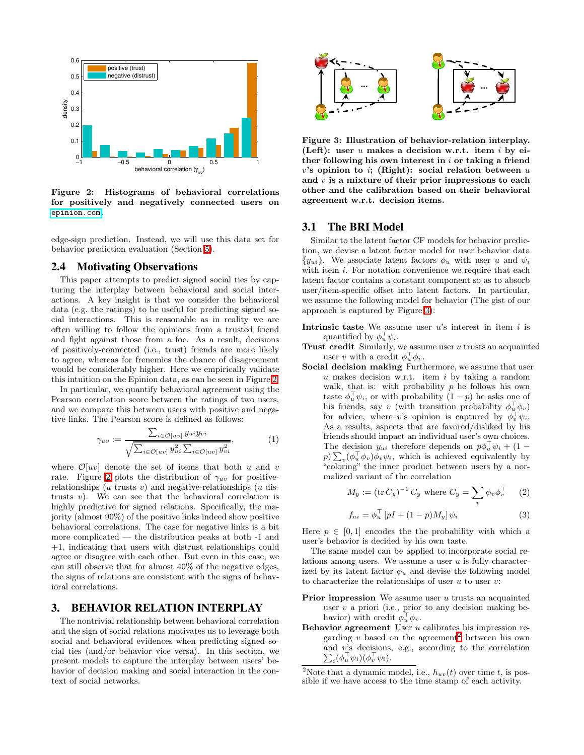

<span id="page-3-1"></span>Figure 2: Histograms of behavioral correlations for positively and negatively connected users on <epinion.com>.

edge-sign prediction. Instead, we will use this data set for behavior prediction evaluation (Section [5\)](#page-7-0).

## **2.4 Motivating Observations**

This paper attempts to predict signed social ties by capturing the interplay between behavioral and social interactions. A key insight is that we consider the behavioral data (e.g. the ratings) to be useful for predicting signed social interactions. This is reasonable as in reality we are often willing to follow the opinions from a trusted friend and fight against those from a foe. As a result, decisions of positively-connected (i.e., trust) friends are more likely to agree, whereas for frenemies the chance of disagreement would be considerably higher. Here we empirically validate this intuition on the Epinion data, as can be seen in Figure [2.](#page-3-1)

In particular, we quantify behavioral agreement using the Pearson correlation score between the ratings of two users, and we compare this between users with positive and negative links. The Pearson score is defined as follows:

$$
\gamma_{uv} := \frac{\sum_{i \in \mathcal{O}[uv]} y_{ui} y_{vi}}{\sqrt{\sum_{i \in \mathcal{O}[uv]} y_{ui}^2 \sum_{i \in \mathcal{O}[uv]} y_{vi}^2}},\tag{1}
$$

where  $\mathcal{O}[uv]$  denote the set of items that both u and v rate. Figure [2](#page-3-1) plots the distribution of  $\gamma_{uv}$  for positiverelationships (u trusts v) and negative-relationships (u distrusts  $v$ ). We can see that the behavioral correlation is highly predictive for signed relations. Specifically, the majority (almost 90%) of the positive links indeed show positive behavioral correlations. The case for negative links is a bit more complicated — the distribution peaks at both -1 and +1, indicating that users with distrust relationships could agree or disagree with each other. But even in this case, we can still observe that for almost 40% of the negative edges, the signs of relations are consistent with the signs of behavioral correlations.

## <span id="page-3-0"></span>**3. BEHAVIOR RELATION INTERPLAY**

The nontrivial relationship between behavioral correlation and the sign of social relations motivates us to leverage both social and behavioral evidences when predicting signed social ties (and/or behavior vice versa). In this section, we present models to capture the interplay between users' behavior of decision making and social interaction in the context of social networks.



<span id="page-3-2"></span>Figure 3: Illustration of behavior-relation interplay. (Left): user  $u$  makes a decision w.r.t. item  $i$  by either following his own interest in  $i$  or taking a friend  $v$ 's opinion to i; (Right): social relation between  $u$ and  $v$  is a mixture of their prior impressions to each other and the calibration based on their behavioral agreement w.r.t. decision items.

#### **3.1 The BRI Model**

Similar to the latent factor CF models for behavior prediction, we devise a latent factor model for user behavior data  ${y_{ui}}$ . We associate latent factors  $\phi_u$  with user u and  $\psi_i$ with item  $i$ . For notation convenience we require that each latent factor contains a constant component so as to absorb user/item-specific offset into latent factors. In particular, we assume the following model for behavior (The gist of our approach is captured by Figure [3\)](#page-3-2):

- Intrinsic taste We assume user  $u$ 's interest in item  $i$  is quantified by  $\phi_u^{\top} \psi_i$ .
- Trust credit Similarly, we assume user  $u$  trusts an acquainted user v with a credit  $\phi_u^{\top} \phi_v$ .
- Social decision making Furthermore, we assume that user  $u$  makes decision w.r.t. item  $i$  by taking a random walk, that is: with probability  $p$  he follows his own taste  $\phi_u^{\top} \psi_i$ , or with probability  $(1-p)$  he asks one of his friends, say v (with transition probability  $\phi_u^{\dagger} \phi_v$ ) for advice, where v's opinion is captured by  $\phi_v^{\top} \psi_i$ . As a results, aspects that are favored/disliked by his friends should impact an individual user's own choices. The decision  $y_{ui}$  therefore depends on  $p\phi_u^{\top}\psi_i + (1 - p\psi_i^{\top}\psi_i)$  $p) \sum_{v} (\phi_u^{\top} \phi_v) \phi_v \psi_i$ , which is achieved equivalently by "coloring" the inner product between users by a normalized variant of the correlation

$$
M_y := (\text{tr } C_y)^{-1} C_y \text{ where } C_y = \sum_v \phi_v \phi_v^{\top} \qquad (2)
$$

<span id="page-3-4"></span>
$$
f_{ui} = \phi_u^{\top} \left[ pI + (1 - p)M_y \right] \psi_i \tag{3}
$$

Here  $p \in [0, 1]$  encodes the the probability with which a user's behavior is decided by his own taste.

The same model can be applied to incorporate social relations among users. We assume a user  $u$  is fully characterized by its latent factor  $\phi_u$  and devise the following model to characterize the relationships of user  $u$  to user  $v$ :

- **Prior impression** We assume user  $u$  trusts an acquainted user  $v$  a priori (i.e., prior to any decision making behavior) with credit  $\phi_u^{\dagger} \phi_v$ .
- Behavior agreement User  $u$  calibrates his impression regarding  $v$  based on the agreement<sup>[2](#page-3-3)</sup> between his own and v's decisions, e.g., according to the correlation  $\sum_i (\phi_n^{\top} \psi_i)(\phi_n^{\top} \psi_i)$ .  $_i(\phi_u^{\top} \psi_i) (\phi_v^{\top} \psi_i).$

<span id="page-3-3"></span><sup>&</sup>lt;sup>2</sup>Note that a dynamic model, i.e.,  $h_{uv}(t)$  over time t, is possible if we have access to the time stamp of each activity.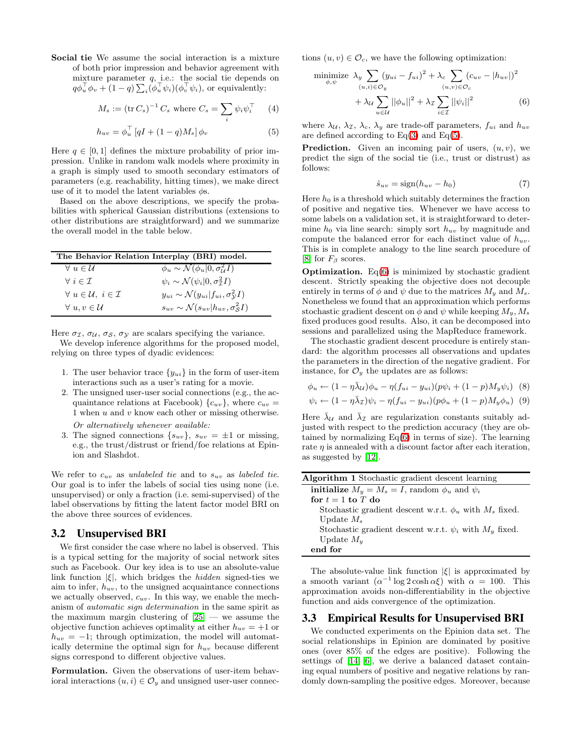## Social tie We assume the social interaction is a mixture

of both prior impression and behavior agreement with mixture parameter  $q$ , i.e.: the social tie depends on  $q\phi_u^{\top}\phi_v + (1-q)\sum_i(\phi_u^{\top}\psi_i)(\phi_v^{\top}\psi_i)$ , or equivalently:

$$
M_s := (\text{tr } C_s)^{-1} C_s \text{ where } C_s = \sum_i \psi_i \psi_i^\top \qquad (4)
$$

$$
h_{uv} = \phi_u^{\top} \left[ qI + (1 - q)M_s \right] \phi_v \tag{5}
$$

Here  $q \in [0, 1]$  defines the mixture probability of prior impression. Unlike in random walk models where proximity in a graph is simply used to smooth secondary estimators of parameters (e.g. reachability, hitting times), we make direct use of it to model the latent variables  $\phi$ s.

Based on the above descriptions, we specify the probabilities with spherical Gaussian distributions (extensions to other distributions are straightforward) and we summarize the overall model in the table below.

| The Behavior Relation Interplay (BRI) model.   |                                                          |  |  |  |  |  |  |
|------------------------------------------------|----------------------------------------------------------|--|--|--|--|--|--|
| $\forall u \in \mathcal{U}$                    | $\phi_u \sim \mathcal{N}(\phi_u   0, \sigma_u^2 I)$      |  |  |  |  |  |  |
| $\forall i \in \mathcal{I}$                    | $\psi_i \sim \mathcal{N}(\psi_i 0, \sigma_\tau^2 I)$     |  |  |  |  |  |  |
| $\forall u \in \mathcal{U}, i \in \mathcal{I}$ | $y_{ui} \sim \mathcal{N}(y_{ui}   f_{ui}, \sigma_V^2 I)$ |  |  |  |  |  |  |
| $\forall u, v \in \mathcal{U}$                 | $s_{uv} \sim \mathcal{N}(s_{uv}   h_{uv}, \sigma_S^2 I)$ |  |  |  |  |  |  |

Here  $\sigma_{\mathcal{I}}, \sigma_{\mathcal{U}}, \sigma_{\mathcal{S}}, \sigma_{\mathcal{Y}}$  are scalars specifying the variance.

We develop inference algorithms for the proposed model, relying on three types of dyadic evidences:

- 1. The user behavior trace  $\{y_{ui}\}\$ in the form of user-item interactions such as a user's rating for a movie.
- 2. The unsigned user-user social connections (e.g., the acquaintance relations at Facebook)  ${c_{uv}}$ , where  $c_{uv}$  = 1 when u and v know each other or missing otherwise. Or alternatively whenever available:
- 3. The signed connections  $\{s_{uv}\}\$ ,  $s_{uv} = \pm 1$  or missing, e.g., the trust/distrust or friend/foe relations at Epinion and Slashdot.

We refer to  $c_{uv}$  as unlabeled tie and to  $s_{uv}$  as labeled tie. Our goal is to infer the labels of social ties using none (i.e. unsupervised) or only a fraction (i.e. semi-supervised) of the label observations by fitting the latent factor model BRI on the above three sources of evidences.

## **3.2 Unsupervised BRI**

We first consider the case where no label is observed. This is a typical setting for the majority of social network sites such as Facebook. Our key idea is to use an absolute-value link function  $|\xi|$ , which bridges the *hidden* signed-ties we aim to infer,  $h_{uv}$ , to the unsigned acquaintance connections we actually observed,  $c_{uv}$ . In this way, we enable the mechanism of automatic sign determination in the same spirit as the maximum margin clustering of  $[25]$  — we assume the objective function achieves optimality at either  $h_{uv} = +1$  or  $h_{uv} = -1$ ; through optimization, the model will automatically determine the optimal sign for  $h_{uv}$  because different signs correspond to different objective values.

Formulation. Given the observations of user-item behavioral interactions  $(u, i) \in \mathcal{O}_y$  and unsigned user-user connections  $(u, v) \in \mathcal{O}_c$ , we have the following optimization:

$$
\underset{\phi,\psi}{\text{minimize}} \ \lambda_y \sum_{(u,i) \in \mathcal{O}_y} (y_{ui} - f_{ui})^2 + \lambda_c \sum_{(u,v) \in \mathcal{O}_c} (c_{uv} - |h_{uv}|)^2
$$
\n
$$
+ \lambda_u \sum_{u \in \mathcal{U}} ||\phi_u||^2 + \lambda_x \sum_{i \in \mathcal{I}} ||\psi_i||^2 \tag{6}
$$

<span id="page-4-0"></span>where  $\lambda_{\mathcal{U}}, \lambda_{\mathcal{I}}, \lambda_c, \lambda_y$  are trade-off parameters,  $f_{ui}$  and  $h_{uv}$ are defined according to  $Eq(3)$  $Eq(3)$  and  $Eq(5)$  $Eq(5)$ .

**Prediction.** Given an incoming pair of users,  $(u, v)$ , we predict the sign of the social tie (i.e., trust or distrust) as follows:

<span id="page-4-2"></span><span id="page-4-1"></span>
$$
\hat{s}_{uv} = \text{sign}(h_{uv} - h_0) \tag{7}
$$

Here  $h_0$  is a threshold which suitably determines the fraction of positive and negative ties. Whenever we have access to some labels on a validation set, it is straightforward to determine  $h_0$  via line search: simply sort  $h_{uv}$  by magnitude and compute the balanced error for each distinct value of  $h_{uv}$ . This is in complete analogy to the line search procedure of [\[8\]](#page-9-20) for  $F_\beta$  scores.

**Optimization.** Eq $(6)$  is minimized by stochastic gradient descent. Strictly speaking the objective does not decouple entirely in terms of  $\phi$  and  $\psi$  due to the matrices  $M_{\nu}$  and  $M_{s}$ . Nonetheless we found that an approximation which performs stochastic gradient descent on  $\phi$  and  $\psi$  while keeping  $M_y, M_s$ fixed produces good results. Also, it can be decomposed into sessions and parallelized using the MapReduce framework.

The stochastic gradient descent procedure is entirely standard: the algorithm processes all observations and updates the parameters in the direction of the negative gradient. For instance, for  $\mathcal{O}_y$  the updates are as follows:

$$
\phi_u \leftarrow (1 - \eta \bar{\lambda}_u) \phi_u - \eta (f_{ui} - y_{ui}) (p\psi_i + (1 - p) M_y \psi_i) \quad (8)
$$

$$
\psi_i \leftarrow (1 - \eta \bar{\lambda}_{\mathcal{I}}) \psi_i - \eta (f_{ui} - y_{ui}) (p\phi_u + (1 - p) M_y \phi_u) \tag{9}
$$

Here  $\bar{\lambda}_U$  and  $\bar{\lambda}_I$  are regularization constants suitably adjusted with respect to the prediction accuracy (they are obtained by normalizing  $Eq(6)$  $Eq(6)$  in terms of size). The learning rate  $\eta$  is annealed with a discount factor after each iteration, as suggested by [\[12\]](#page-9-13).

| <b>Algorithm 1</b> Stochastic gradient descent learning          |  |  |  |  |  |  |  |
|------------------------------------------------------------------|--|--|--|--|--|--|--|
| <b>initialize</b> $M_y = M_s = I$ , random $\phi_u$ and $\psi_i$ |  |  |  |  |  |  |  |
| for $t = 1$ to T do                                              |  |  |  |  |  |  |  |
| Stochastic gradient descent w.r.t. $\phi_u$ with $M_s$ fixed.    |  |  |  |  |  |  |  |
| Update $M_s$                                                     |  |  |  |  |  |  |  |
| Stochastic gradient descent w.r.t. $\psi_i$ with $M_u$ fixed.    |  |  |  |  |  |  |  |
| Update $M_u$                                                     |  |  |  |  |  |  |  |
| end for                                                          |  |  |  |  |  |  |  |

The absolute-value link function  $|\xi|$  is approximated by a smooth variant  $(\alpha^{-1} \log 2 \cosh \alpha \xi)$  with  $\alpha = 100$ . This approximation avoids non-differentiability in the objective function and aids convergence of the optimization.

## **3.3 Empirical Results for Unsupervised BRI**

We conducted experiments on the Epinion data set. The social relationships in Epinion are dominated by positive ones (over 85% of the edges are positive). Following the settings of [\[14,](#page-9-12) [6\]](#page-9-8), we derive a balanced dataset containing equal numbers of positive and negative relations by randomly down-sampling the positive edges. Moreover, because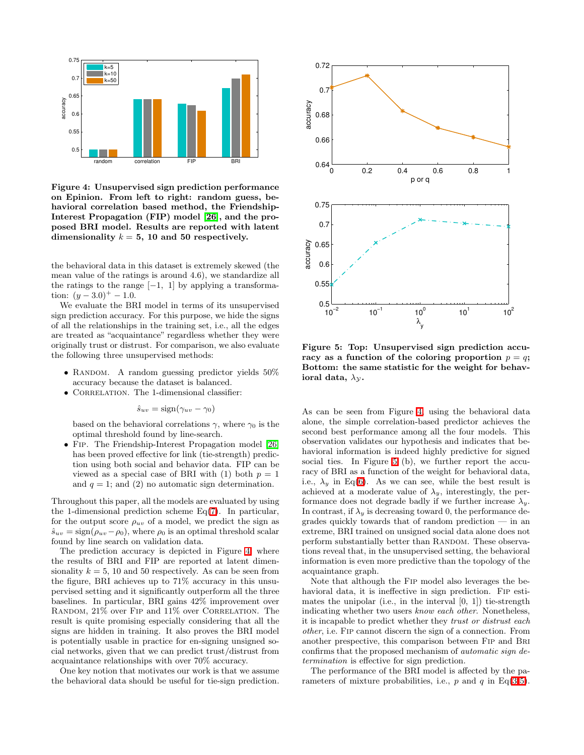

<span id="page-5-0"></span>Figure 4: Unsupervised sign prediction performance on Epinion. From left to right: random guess, behavioral correlation based method, the Friendship-Interest Propagation (FIP) model [\[26\]](#page-9-4), and the proposed BRI model. Results are reported with latent dimensionality  $k = 5$ , 10 and 50 respectively.

the behavioral data in this dataset is extremely skewed (the mean value of the ratings is around 4.6), we standardize all the ratings to the range  $[-1, 1]$  by applying a transformation:  $(y-3.0)^+ - 1.0$ .

We evaluate the BRI model in terms of its unsupervised sign prediction accuracy. For this purpose, we hide the signs of all the relationships in the training set, i.e., all the edges are treated as "acquaintance" regardless whether they were originally trust or distrust. For comparison, we also evaluate the following three unsupervised methods:

- RANDOM. A random guessing predictor yields  $50\%$ accuracy because the dataset is balanced.
- CORRELATION. The 1-dimensional classifier:

 $\hat{s}_{uv} = \text{sign}(\gamma_{uv} - \gamma_0)$ 

based on the behavioral correlations  $\gamma$ , where  $\gamma_0$  is the optimal threshold found by line-search.

• Fip. The Friendship-Interest Propagation model [\[26\]](#page-9-4) has been proved effective for link (tie-strength) prediction using both social and behavior data. FIP can be viewed as a special case of BRI with (1) both  $p = 1$ and  $q = 1$ ; and (2) no automatic sign determination.

Throughout this paper, all the models are evaluated by using the 1-dimensional prediction scheme  $Eq(7)$  $Eq(7)$ . In particular, for the output score  $\rho_{uv}$  of a model, we predict the sign as  $\hat{s}_{uv} = \text{sign}(\rho_{uv} - \rho_0)$ , where  $\rho_0$  is an optimal threshold scalar found by line search on validation data.

The prediction accuracy is depicted in Figure [4,](#page-5-0) where the results of BRI and FIP are reported at latent dimensionality  $k = 5$ , 10 and 50 respectively. As can be seen from the figure, BRI achieves up to 71% accuracy in this unsupervised setting and it significantly outperform all the three baselines. In particular, BRI gains 42% improvement over RANDOM,  $21\%$  over FIP and  $11\%$  over CORRELATION. The result is quite promising especially considering that all the signs are hidden in training. It also proves the BRI model is potentially usable in practice for en-signing unsigned social networks, given that we can predict trust/distrust from acquaintance relationships with over 70% accuracy.

One key notion that motivates our work is that we assume the behavioral data should be useful for tie-sign prediction.



<span id="page-5-1"></span>Figure 5: Top: Unsupervised sign prediction accuracy as a function of the coloring proportion  $p = q$ ; Bottom: the same statistic for the weight for behavioral data,  $\lambda_{\mathcal{Y}}$ .

As can be seen from Figure [4,](#page-5-0) using the behavioral data alone, the simple correlation-based predictor achieves the second best performance among all the four models. This observation validates our hypothesis and indicates that behavioral information is indeed highly predictive for signed social ties. In Figure [5](#page-5-1) (b), we further report the accuracy of BRI as a function of the weight for behavioral data, i.e.,  $\lambda_y$  in Eq[\(6\)](#page-4-1). As we can see, while the best result is achieved at a moderate value of  $\lambda_y$ , interestingly, the performance does not degrade badly if we further increase  $\lambda_y$ . In contrast, if  $\lambda_y$  is decreasing toward 0, the performance degrades quickly towards that of random prediction — in an extreme, BRI trained on unsigned social data alone does not perform substantially better than RANDOM. These observations reveal that, in the unsupervised setting, the behavioral information is even more predictive than the topology of the acquaintance graph.

Note that although the Fip model also leverages the behavioral data, it is ineffective in sign prediction. Fip estimates the unipolar (i.e., in the interval  $[0, 1]$ ) tie-strength indicating whether two users know each other. Nonetheless, it is incapable to predict whether they trust or distrust each other, i.e. Fip cannot discern the sign of a connection. From another prespective, this comparison between Fip and Bri confirms that the proposed mechanism of automatic sign determination is effective for sign prediction.

The performance of the BRI model is affected by the parameters of mixture probabilities, i.e.,  $p$  and  $q$  in Eq[\(3](#page-3-4)[-5\)](#page-4-0).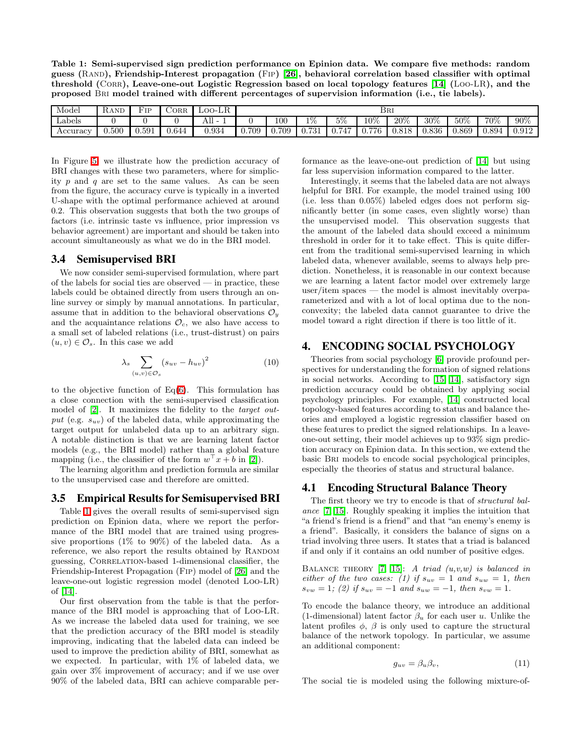<span id="page-6-1"></span>Table 1: Semi-supervised sign prediction performance on Epinion data. We compare five methods: random guess (Rand), Friendship-Interest propagation (Fip) [\[26\]](#page-9-4), behavioral correlation based classifier with optimal threshold (CORR), Leave-one-out Logistic Regression based on local topology features [\[14\]](#page-9-12) (LOO-LR), and the proposed Bri model trained with different percentages of supervision information (i.e., tie labels).

| Model    | RAND        | H'TD  | ORR   | $_{\text{LOO-LR}}$ | BRI   |                      |                     |                        |            |              |       |       |       |       |
|----------|-------------|-------|-------|--------------------|-------|----------------------|---------------------|------------------------|------------|--------------|-------|-------|-------|-------|
| Labels   |             |       |       | AШ                 |       | $100\,$              | 1%                  | $5\%$                  | $10\%$     | $20\%$       | 30%   | 50%   | 70%   | 90%   |
| Accuracy | $\rm 0.500$ | 0.591 | 0.644 | 0.934              | 0.709 | 709<br>$U_{\rm eff}$ | 701<br><b>U.IJI</b> | $H \rightarrow H$<br>4 | 776<br>U., | Q1Q<br>U.OIO | 0.836 | 0.869 | 0.894 | 0.912 |

In Figure [5,](#page-5-1) we illustrate how the prediction accuracy of BRI changes with these two parameters, where for simplicity  $p$  and  $q$  are set to the same values. As can be seen from the figure, the accuracy curve is typically in a inverted U-shape with the optimal performance achieved at around 0.2. This observation suggests that both the two groups of factors (i.e. intrinsic taste vs influence, prior impression vs behavior agreement) are important and should be taken into account simultaneously as what we do in the BRI model.

#### **3.4 Semisupervised BRI**

We now consider semi-supervised formulation, where part of the labels for social ties are observed — in practice, these labels could be obtained directly from users through an online survey or simply by manual annotations. In particular, assume that in addition to the behavioral observations  $\mathcal{O}_y$ and the acquaintance relations  $\mathcal{O}_c$ , we also have access to a small set of labeled relations (i.e., trust-distrust) on pairs  $(u, v) \in \mathcal{O}_s$ . In this case we add

$$
\lambda_s \sum_{(u,v)\in\mathcal{O}_s} (s_{uv} - h_{uv})^2 \tag{10}
$$

to the objective function of  $Eq(6)$  $Eq(6)$ . This formulation has a close connection with the semi-supervised classification model of [\[2\]](#page-9-21). It maximizes the fidelity to the target output (e.g.  $s_{uv}$ ) of the labeled data, while approximating the target output for unlabeled data up to an arbitrary sign. A notable distinction is that we are learning latent factor models (e.g., the BRI model) rather than a global feature mapping (i.e., the classifier of the form  $w^{\top} x + b$  in [\[2\]](#page-9-21)).

The learning algorithm and prediction formula are similar to the unsupervised case and therefore are omitted.

#### **3.5 Empirical Results for Semisupervised BRI**

Table [1](#page-6-1) gives the overall results of semi-supervised sign prediction on Epinion data, where we report the performance of the BRI model that are trained using progressive proportions  $(1\%$  to  $90\%)$  of the labeled data. As a reference, we also report the results obtained by RANDOM guessing, CORRELATION-based 1-dimensional classifier, the Friendship-Interest Propagation (Fip) model of [\[26\]](#page-9-4) and the leave-one-out logistic regression model (denoted Loo-LR) of [\[14\]](#page-9-12).

Our first observation from the table is that the performance of the BRI model is approaching that of Loo-LR. As we increase the labeled data used for training, we see that the prediction accuracy of the BRI model is steadily improving, indicating that the labeled data can indeed be used to improve the prediction ability of BRI, somewhat as we expected. In particular, with 1% of labeled data, we gain over 3% improvement of accuracy; and if we use over 90% of the labeled data, BRI can achieve comparable performance as the leave-one-out prediction of [\[14\]](#page-9-12) but using far less supervision information compared to the latter.

Interestingly, it seems that the labeled data are not always helpful for BRI. For example, the model trained using 100 (i.e. less than 0.05%) labeled edges does not perform significantly better (in some cases, even slightly worse) than the unsupervised model. This observation suggests that the amount of the labeled data should exceed a minimum threshold in order for it to take effect. This is quite different from the traditional semi-supervised learning in which labeled data, whenever available, seems to always help prediction. Nonetheless, it is reasonable in our context because we are learning a latent factor model over extremely large user/item spaces — the model is almost inevitably overparameterized and with a lot of local optima due to the nonconvexity; the labeled data cannot guarantee to drive the model toward a right direction if there is too little of it.

## <span id="page-6-0"></span>**4. ENCODING SOCIAL PSYCHOLOGY**

Theories from social psychology [\[6\]](#page-9-8) provide profound perspectives for understanding the formation of signed relations in social networks. According to [\[15,](#page-9-9) [14\]](#page-9-12), satisfactory sign prediction accuracy could be obtained by applying social psychology principles. For example, [\[14\]](#page-9-12) constructed local topology-based features according to status and balance theories and employed a logistic regression classifier based on these features to predict the signed relationships. In a leaveone-out setting, their model achieves up to 93% sign prediction accuracy on Epinion data. In this section, we extend the basic Bri models to encode social psychological principles, especially the theories of status and structural balance.

## **4.1 Encoding Structural Balance Theory**

The first theory we try to encode is that of *structural bal*ance [\[7,](#page-9-22) [15\]](#page-9-9). Roughly speaking it implies the intuition that "a friend's friend is a friend" and that "an enemy's enemy is a friend". Basically, it considers the balance of signs on a triad involving three users. It states that a triad is balanced if and only if it contains an odd number of positive edges.

BALANCE THEORY [\[7,](#page-9-22) [15\]](#page-9-9): A triad  $(u,v,w)$  is balanced in either of the two cases: (1) if  $s_{uv} = 1$  and  $s_{uw} = 1$ , then  $s_{vw} = 1$ ; (2) if  $s_{uv} = -1$  and  $s_{uw} = -1$ , then  $s_{vw} = 1$ .

To encode the balance theory, we introduce an additional (1-dimensional) latent factor  $\beta_u$  for each user u. Unlike the latent profiles  $\phi$ ,  $\beta$  is only used to capture the structural balance of the network topology. In particular, we assume an additional component:

$$
g_{uv} = \beta_u \beta_v,\tag{11}
$$

The social tie is modeled using the following mixture-of-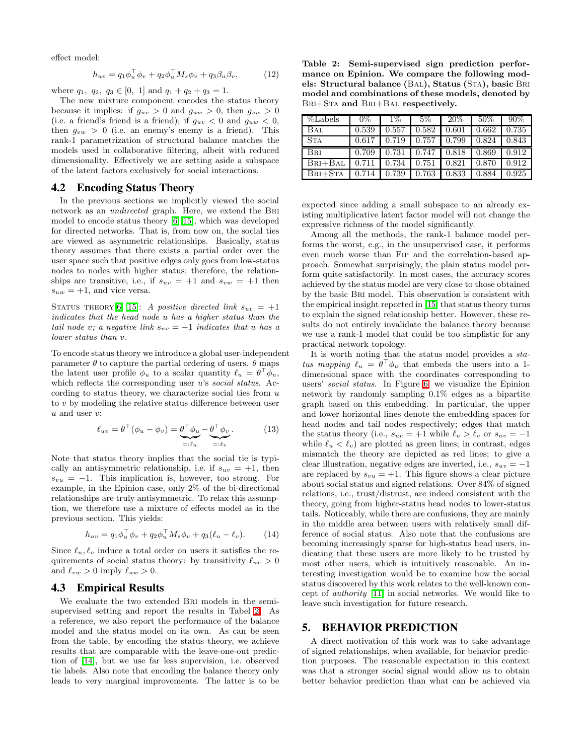effect model:

$$
h_{uv} = q_1 \phi_u^{\top} \phi_v + q_2 \phi_u^{\top} M_s \phi_v + q_3 \beta_u \beta_v, \qquad (12)
$$

where  $q_1, q_2, q_3 \in [0, 1]$  and  $q_1 + q_2 + q_3 = 1$ .

The new mixture component encodes the status theory because it implies: if  $g_{uv} > 0$  and  $g_{uw} > 0$ , then  $g_{vw} > 0$ (i.e. a friend's friend is a friend); if  $g_{uv} < 0$  and  $g_{uw} < 0$ , then  $g_{vw} > 0$  (i.e. an enemy's enemy is a friend). This rank-1 parametrization of structural balance matches the models used in collaborative filtering, albeit with reduced dimensionality. Effectively we are setting aside a subspace of the latent factors exclusively for social interactions.

#### **4.2 Encoding Status Theory**

In the previous sections we implicitly viewed the social network as an undirected graph. Here, we extend the Bri model to encode status theory [\[6,](#page-9-8) [15\]](#page-9-9), which was developed for directed networks. That is, from now on, the social ties are viewed as asymmetric relationships. Basically, status theory assumes that there exists a partial order over the user space such that positive edges only goes from low-status nodes to nodes with higher status; therefore, the relationships are transitive, i.e., if  $s_{uv} = +1$  and  $s_{vw} = +1$  then  $s_{uw} = +1$ , and vice versa.

STATUS THEORY [\[6,](#page-9-8) [15\]](#page-9-9): A positive directed link  $s_{uv} = +1$ indicates that the head node u has a higher status than the tail node v; a negative link  $s_{uv} = -1$  indicates that u has a lower status than v.

To encode status theory we introduce a global user-independent parameter  $\theta$  to capture the partial ordering of users.  $\theta$  maps the latent user profile  $\phi_u$  to a scalar quantity  $\ell_u = \theta^\top \phi_u$ , which reflects the corresponding user  $u$ 's social status. According to status theory, we characterize social ties from  $u$ to v by modeling the relative status difference between user  $u$  and user  $v$ :

$$
\ell_{uv} = \theta^{\top}(\phi_u - \phi_v) = \underbrace{\theta^{\top}\phi_u}_{=: \ell_u} - \underbrace{\theta^{\top}\phi_v}_{=: \ell_v}.
$$
 (13)

Note that status theory implies that the social tie is typically an antisymmetric relationship, i.e. if  $s_{uv} = +1$ , then  $s_{vu} = -1$ . This implication is, however, too strong. For example, in the Epinion case, only 2% of the bi-directional relationships are truly antisymmetric. To relax this assumption, we therefore use a mixture of effects model as in the previous section. This yields:

$$
h_{uv} = q_1 \phi_u^{\top} \phi_v + q_2 \phi_u^{\top} M_s \phi_v + q_3 (\ell_u - \ell_v). \tag{14}
$$

Since  $\ell_u, \ell_v$  induce a total order on users it satisfies the requirements of social status theory: by transitivity  $\ell_{uv} > 0$ and  $\ell_{vw} > 0$  imply  $\ell_{uw} > 0$ .

#### **4.3 Empirical Results**

We evaluate the two extended Bri models in the semisupervised setting and report the results in Tabel [2.](#page-7-1) As a reference, we also report the performance of the balance model and the status model on its own. As can be seen from the table, by encoding the status theory, we achieve results that are comparable with the leave-one-out prediction of [\[14\]](#page-9-12), but we use far less supervision, i.e. observed tie labels. Also note that encoding the balance theory only leads to very marginal improvements. The latter is to be

<span id="page-7-1"></span>Table 2: Semi-supervised sign prediction performance on Epinion. We compare the following models: Structural balance (BAL), Status (STA), basic BRI model and combinations of these models, denoted by Bri+Sta and Bri+Bal respectively.

| %Labels     | $0\%$ | $1\%$ | 5%    | 20%   | 50%   | 90%   |
|-------------|-------|-------|-------|-------|-------|-------|
| Bal         | 0.539 | 0.557 | 0.582 | 0.601 | 0.662 | 0.735 |
| <b>STA</b>  | 0.617 | 0.719 | 0.757 | 0.799 | 0.824 | 0.843 |
| <b>BRI</b>  | 0.709 | 0.731 | 0.747 | 0.818 | 0.869 | 0.912 |
|             |       |       |       |       |       |       |
| $BRI + BAL$ | 0.711 | 0.734 | 0.751 | 0.821 | 0.870 | 0.912 |

expected since adding a small subspace to an already existing multiplicative latent factor model will not change the expressive richness of the model significantly.

Among all the methods, the rank-1 balance model performs the worst, e.g., in the unsupervised case, it performs even much worse than Fip and the correlation-based approach. Somewhat surprisingly, the plain status model perform quite satisfactorily. In most cases, the accuracy scores achieved by the status model are very close to those obtained by the basic Bri model. This observation is consistent with the empirical insight reported in [\[15\]](#page-9-9) that status theory turns to explain the signed relationship better. However, these results do not entirely invalidate the balance theory because we use a rank-1 model that could be too simplistic for any practical network topology.

It is worth noting that the status model provides a status mapping  $\ell_u = \theta^\top \phi_u$  that embeds the users into a 1dimensional space with the coordinates corresponding to users' social status. In Figure [6,](#page-8-1) we visualize the Epinion network by randomly sampling 0.1% edges as a bipartite graph based on this embedding. In particular, the upper and lower horizontal lines denote the embedding spaces for head nodes and tail nodes respectively; edges that match the status theory (i.e.,  $s_{uv} = +1$  while  $\ell_u > \ell_v$  or  $s_{uv} = -1$ while  $\ell_u < \ell_v$ ) are plotted as green lines; in contrast, edges mismatch the theory are depicted as red lines; to give a clear illustration, negative edges are inverted, i.e.,  $s_{uv} = -1$ are replaced by  $s_{vu} = +1$ . This figure shows a clear picture about social status and signed relations. Over 84% of signed relations, i.e., trust/distrust, are indeed consistent with the theory, going from higher-status head nodes to lower-status tails. Noticeably, while there are confusions, they are mainly in the middle area between users with relatively small difference of social status. Also note that the confusions are becoming increasingly sparse for high-status head users, indicating that these users are more likely to be trusted by most other users, which is intuitively reasonable. An interesting investigation would be to examine how the social status discovered by this work relates to the well-known concept of authority [\[11\]](#page-9-23) in social networks. We would like to leave such investigation for future research.

#### <span id="page-7-0"></span>**5. BEHAVIOR PREDICTION**

A direct motivation of this work was to take advantage of signed relationships, when available, for behavior prediction purposes. The reasonable expectation in this context was that a stronger social signal would allow us to obtain better behavior prediction than what can be achieved via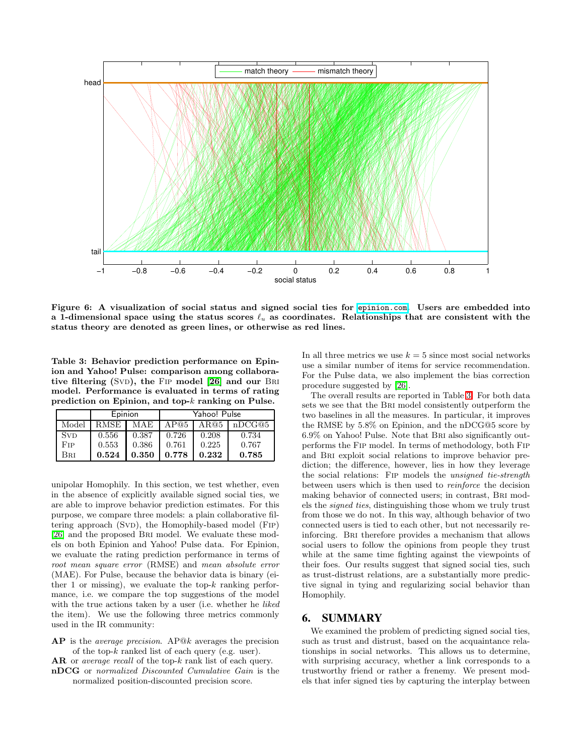

<span id="page-8-1"></span>Figure 6: A visualization of social status and signed social ties for <epinion.com>. Users are embedded into a 1-dimensional space using the status scores  $\ell_u$  as coordinates. Relationships that are consistent with the status theory are denoted as green lines, or otherwise as red lines.

<span id="page-8-2"></span>Table 3: Behavior prediction performance on Epinion and Yahoo! Pulse: comparison among collaborative filtering  $(SVD)$ , the FIP model  $[26]$  and our BRI model. Performance is evaluated in terms of rating prediction on Epinion, and top-k ranking on Pulse.

|       | Epinion |       | Yahoo! Pulse |       |        |  |  |
|-------|---------|-------|--------------|-------|--------|--|--|
| Model | RMSE    | MAE   | AP@5         | AR@5  | nDCG@5 |  |  |
| Svd   | 0.556   | 0.387 | 0.726        | 0.208 | 0.734  |  |  |
| Fip   | 0.553   | 0.386 | 0.761        | 0.225 | 0.767  |  |  |
| Bri   | 0.524   | 0.350 | 0.778        | 0.232 | 0.785  |  |  |

unipolar Homophily. In this section, we test whether, even in the absence of explicitly available signed social ties, we are able to improve behavior prediction estimates. For this purpose, we compare three models: a plain collaborative filtering approach (SvD), the Homophily-based model (FIP) [\[26\]](#page-9-4) and the proposed Bri model. We evaluate these models on both Epinion and Yahoo! Pulse data. For Epinion, we evaluate the rating prediction performance in terms of root mean square error (RMSE) and mean absolute error (MAE). For Pulse, because the behavior data is binary (either 1 or missing), we evaluate the top- $k$  ranking performance, i.e. we compare the top suggestions of the model with the true actions taken by a user (i.e. whether he *liked* the item). We use the following three metrics commonly used in the IR community:

AP is the average precision. AP@k averages the precision of the top-k ranked list of each query (e.g. user).

AR or *average recall* of the top-k rank list of each query.

- nDCG or normalized Discounted Cumulative Gain is the
	- normalized position-discounted precision score.

In all three metrics we use  $k = 5$  since most social networks use a similar number of items for service recommendation. For the Pulse data, we also implement the bias correction procedure suggested by [\[26\]](#page-9-4).

The overall results are reported in Table [3.](#page-8-2) For both data sets we see that the Bri model consistently outperform the two baselines in all the measures. In particular, it improves the RMSE by 5.8% on Epinion, and the nDCG@5 score by 6.9% on Yahoo! Pulse. Note that Bri also significantly outperforms the Fip model. In terms of methodology, both Fip and Bri exploit social relations to improve behavior prediction; the difference, however, lies in how they leverage the social relations: Fip models the unsigned tie-strength between users which is then used to reinforce the decision making behavior of connected users; in contrast, Bri models the signed ties, distinguishing those whom we truly trust from those we do not. In this way, although behavior of two connected users is tied to each other, but not necessarily reinforcing. Bri therefore provides a mechanism that allows social users to follow the opinions from people they trust while at the same time fighting against the viewpoints of their foes. Our results suggest that signed social ties, such as trust-distrust relations, are a substantially more predictive signal in tying and regularizing social behavior than Homophily.

## <span id="page-8-0"></span>**6. SUMMARY**

We examined the problem of predicting signed social ties, such as trust and distrust, based on the acquaintance relationships in social networks. This allows us to determine, with surprising accuracy, whether a link corresponds to a trustworthy friend or rather a frenemy. We present models that infer signed ties by capturing the interplay between